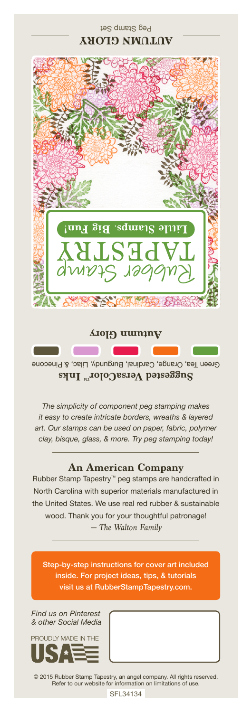## Peg Stamp Set **AUTUMN GLORY**



Green Tea, Orange, Cardinal, Burgundy, Lilac, & Pinecone Suggested VersaColor<sup>m</sup> Inks

*The simplicity of component peg stamping makes it easy to create intricate borders, wreaths & layered art. Our stamps can be used on paper, fabric, polymer clay, bisque, glass, & more. Try peg stamping today!*

## **An American Company**

*— The Walton Family* Rubber Stamp Tapestry™ peg stamps are handcrafted in North Carolina with superior materials manufactured in the United States. We use real red rubber & sustainable wood. Thank you for your thoughtful patronage!

Step-by-step instructions for cover art included inside. For project ideas, tips, & tutorials visit us at RubberStampTapestry.com.

*Find us on Pinterest & other Social Media*



© 2015 Rubber Stamp Tapestry, an angel company. All rights reserved. Refer to our website for information on limitations of use.